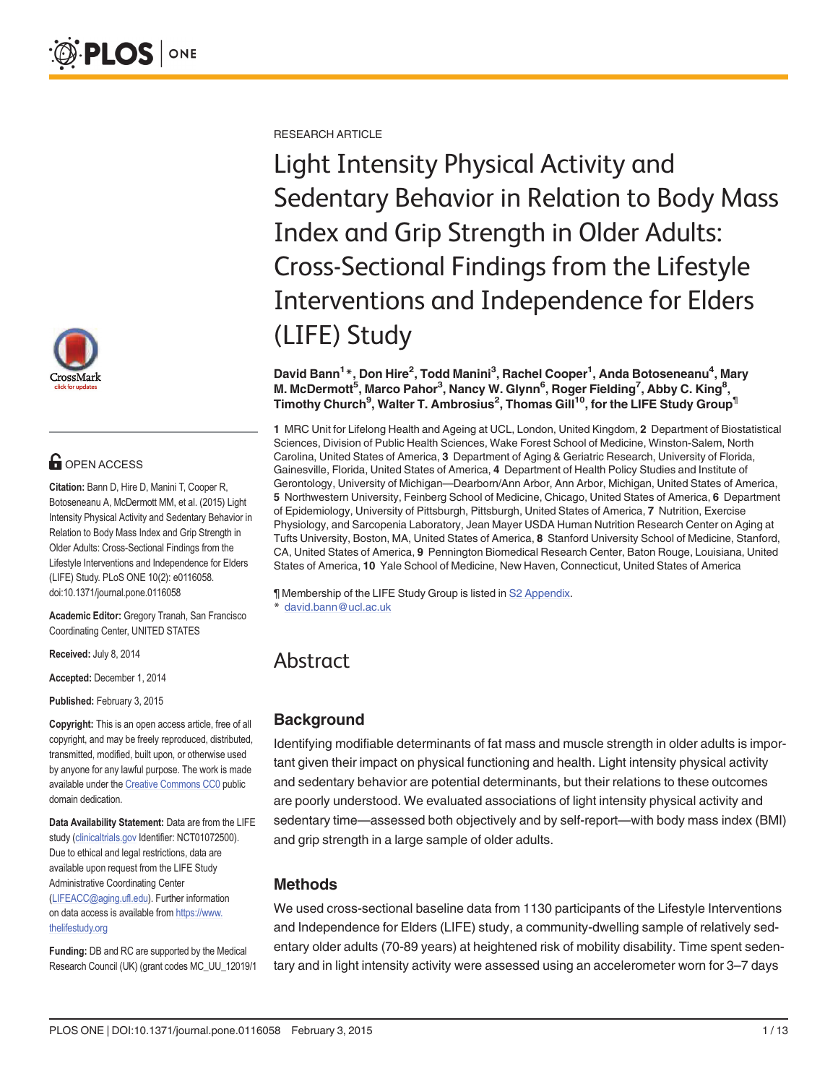

# **OPEN ACCESS**

Citation: Bann D, Hire D, Manini T, Cooper R, Botoseneanu A, McDermott MM, et al. (2015) Light Intensity Physical Activity and Sedentary Behavior in Relation to Body Mass Index and Grip Strength in Older Adults: Cross-Sectional Findings from the Lifestyle Interventions and Independence for Elders (LIFE) Study. PLoS ONE 10(2): e0116058. doi:10.1371/journal.pone.0116058

Academic Editor: Gregory Tranah, San Francisco Coordinating Center, UNITED STATES

Received: July 8, 2014

Accepted: December 1, 2014

Published: February 3, 2015

Copyright: This is an open access article, free of all copyright, and may be freely reproduced, distributed, transmitted, modified, built upon, or otherwise used by anyone for any lawful purpose. The work is made available under the [Creative Commons CC0](https://creativecommons.org/publicdomain/zero/1.0/) public domain dedication.

Data Availability Statement: Data are from the LIFE study [\(clinicaltrials.gov](http://clinicaltrials.gov) Identifier: NCT01072500). Due to ethical and legal restrictions, data are available upon request from the LIFE Study Administrative Coordinating Center (LIFEACC@aging.ufl.edu). Further information on data access is available from [https://www.](https://www.thelifestudy.org) [thelifestudy.org](https://www.thelifestudy.org)

Funding: DB and RC are supported by the Medical Research Council (UK) (grant codes MC\_UU\_12019/1 RESEARCH ARTICLE

Light Intensity Physical Activity and Sedentary Behavior in Relation to Body Mass Index and Grip Strength in Older Adults: Cross-Sectional Findings from the Lifestyle Interventions and Independence for Elders (LIFE) Study

David Bann<sup>1</sup>\*, Don Hire<sup>2</sup>, Todd Manini<sup>3</sup>, Rachel Cooper<sup>1</sup>, Anda Botoseneanu<sup>4</sup>, Mary M. McDermott<sup>5</sup>, Marco Pahor<sup>3</sup>, Nancy W. Glynn<sup>6</sup>, Roger Fielding<sup>7</sup>, Abby C. King<sup>8</sup>, Timothy Church<sup>9</sup>, Walter T. Ambrosius<sup>2</sup>, Thomas Gill<sup>10</sup>, for the LIFE Study Group<sup>¶</sup>

1 MRC Unit for Lifelong Health and Ageing at UCL, London, United Kingdom, 2 Department of Biostatistical Sciences, Division of Public Health Sciences, Wake Forest School of Medicine, Winston-Salem, North Carolina, United States of America, 3 Department of Aging & Geriatric Research, University of Florida, Gainesville, Florida, United States of America, 4 Department of Health Policy Studies and Institute of Gerontology, University of Michigan—Dearborn/Ann Arbor, Ann Arbor, Michigan, United States of America, 5 Northwestern University, Feinberg School of Medicine, Chicago, United States of America, 6 Department of Epidemiology, University of Pittsburgh, Pittsburgh, United States of America, 7 Nutrition, Exercise Physiology, and Sarcopenia Laboratory, Jean Mayer USDA Human Nutrition Research Center on Aging at Tufts University, Boston, MA, United States of America, 8 Stanford University School of Medicine, Stanford, CA, United States of America, 9 Pennington Biomedical Research Center, Baton Rouge, Louisiana, United States of America, 10 Yale School of Medicine, New Haven, Connecticut, United States of America

¶ Membership of the LIFE Study Group is listed in [S2 Appendix.](#page-9-0) david.bann@ucl.ac.uk

# Abstract

## **Background**

Identifying modifiable determinants of fat mass and muscle strength in older adults is important given their impact on physical functioning and health. Light intensity physical activity and sedentary behavior are potential determinants, but their relations to these outcomes are poorly understood. We evaluated associations of light intensity physical activity and sedentary time—assessed both objectively and by self-report—with body mass index (BMI) and grip strength in a large sample of older adults.

## Methods

We used cross-sectional baseline data from 1130 participants of the Lifestyle Interventions and Independence for Elders (LIFE) study, a community-dwelling sample of relatively sedentary older adults (70-89 years) at heightened risk of mobility disability. Time spent sedentary and in light intensity activity were assessed using an accelerometer worn for 3–7 days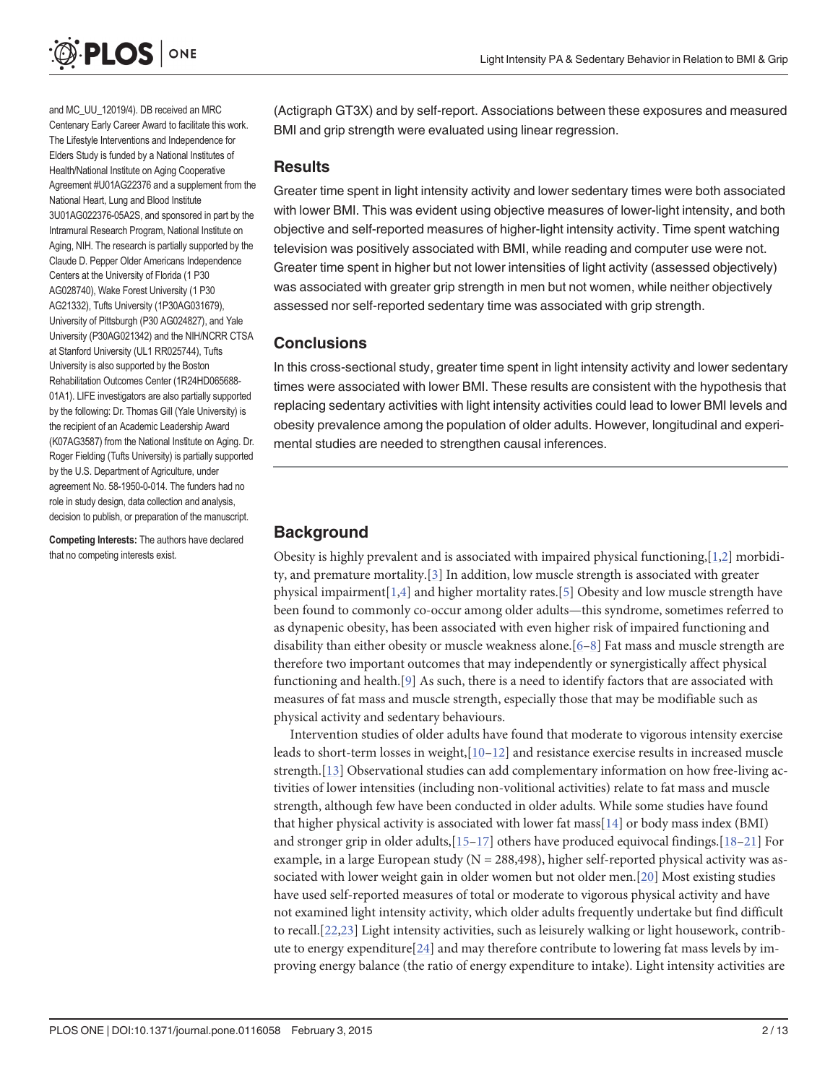<span id="page-1-0"></span>

and MC\_UU\_12019/4). DB received an MRC Centenary Early Career Award to facilitate this work. The Lifestyle Interventions and Independence for Elders Study is funded by a National Institutes of Health/National Institute on Aging Cooperative Agreement #U01AG22376 and a supplement from the National Heart, Lung and Blood Institute 3U01AG022376-05A2S, and sponsored in part by the Intramural Research Program, National Institute on Aging, NIH. The research is partially supported by the Claude D. Pepper Older Americans Independence Centers at the University of Florida (1 P30 AG028740), Wake Forest University (1 P30 AG21332), Tufts University (1P30AG031679), University of Pittsburgh (P30 AG024827), and Yale University (P30AG021342) and the NIH/NCRR CTSA at Stanford University (UL1 RR025744), Tufts University is also supported by the Boston Rehabilitation Outcomes Center (1R24HD065688- 01A1). LIFE investigators are also partially supported by the following: Dr. Thomas Gill (Yale University) is the recipient of an Academic Leadership Award (K07AG3587) from the National Institute on Aging. Dr. Roger Fielding (Tufts University) is partially supported by the U.S. Department of Agriculture, under agreement No. 58-1950-0-014. The funders had no role in study design, data collection and analysis, decision to publish, or preparation of the manuscript.

Competing Interests: The authors have declared that no competing interests exist.

(Actigraph GT3X) and by self-report. Associations between these exposures and measured BMI and grip strength were evaluated using linear regression.

#### **Results**

Greater time spent in light intensity activity and lower sedentary times were both associated with lower BMI. This was evident using objective measures of lower-light intensity, and both objective and self-reported measures of higher-light intensity activity. Time spent watching television was positively associated with BMI, while reading and computer use were not. Greater time spent in higher but not lower intensities of light activity (assessed objectively) was associated with greater grip strength in men but not women, while neither objectively assessed nor self-reported sedentary time was associated with grip strength.

#### **Conclusions**

In this cross-sectional study, greater time spent in light intensity activity and lower sedentary times were associated with lower BMI. These results are consistent with the hypothesis that replacing sedentary activities with light intensity activities could lead to lower BMI levels and obesity prevalence among the population of older adults. However, longitudinal and experimental studies are needed to strengthen causal inferences.

# **Background**

Obesity is highly prevalent and is associated with impaired physical functioning,  $[1,2]$  $[1,2]$  morbidity, and premature mortality.[[3](#page-9-0)] In addition, low muscle strength is associated with greater physical impairment  $[1,4]$  $[1,4]$  and higher mortality rates. [\[5](#page-9-0)] Obesity and low muscle strength have been found to commonly co-occur among older adults—this syndrome, sometimes referred to as dynapenic obesity, has been associated with even higher risk of impaired functioning and disability than either obesity or muscle weakness alone.  $[6-8]$  $[6-8]$  $[6-8]$  $[6-8]$  Fat mass and muscle strength are therefore two important outcomes that may independently or synergistically affect physical functioning and health.[\[9\]](#page-10-0) As such, there is a need to identify factors that are associated with measures of fat mass and muscle strength, especially those that may be modifiable such as physical activity and sedentary behaviours.

Intervention studies of older adults have found that moderate to vigorous intensity exercise leads to short-term losses in weight, $[10-12]$  $[10-12]$  $[10-12]$  $[10-12]$  $[10-12]$  and resistance exercise results in increased muscle strength.[\[13](#page-10-0)] Observational studies can add complementary information on how free-living activities of lower intensities (including non-volitional activities) relate to fat mass and muscle strength, although few have been conducted in older adults. While some studies have found that higher physical activity is associated with lower fat mass  $[14]$  $[14]$  or body mass index (BMI) and stronger grip in older adults,[\[15](#page-10-0)–[17\]](#page-10-0) others have produced equivocal findings.[[18](#page-10-0)–[21](#page-10-0)] For example, in a large European study ( $N = 288,498$ ), higher self-reported physical activity was associated with lower weight gain in older women but not older men.[\[20\]](#page-10-0) Most existing studies have used self-reported measures of total or moderate to vigorous physical activity and have not examined light intensity activity, which older adults frequently undertake but find difficult to recall.[\[22,23\]](#page-10-0) Light intensity activities, such as leisurely walking or light housework, contribute to energy expenditure[[24](#page-10-0)] and may therefore contribute to lowering fat mass levels by improving energy balance (the ratio of energy expenditure to intake). Light intensity activities are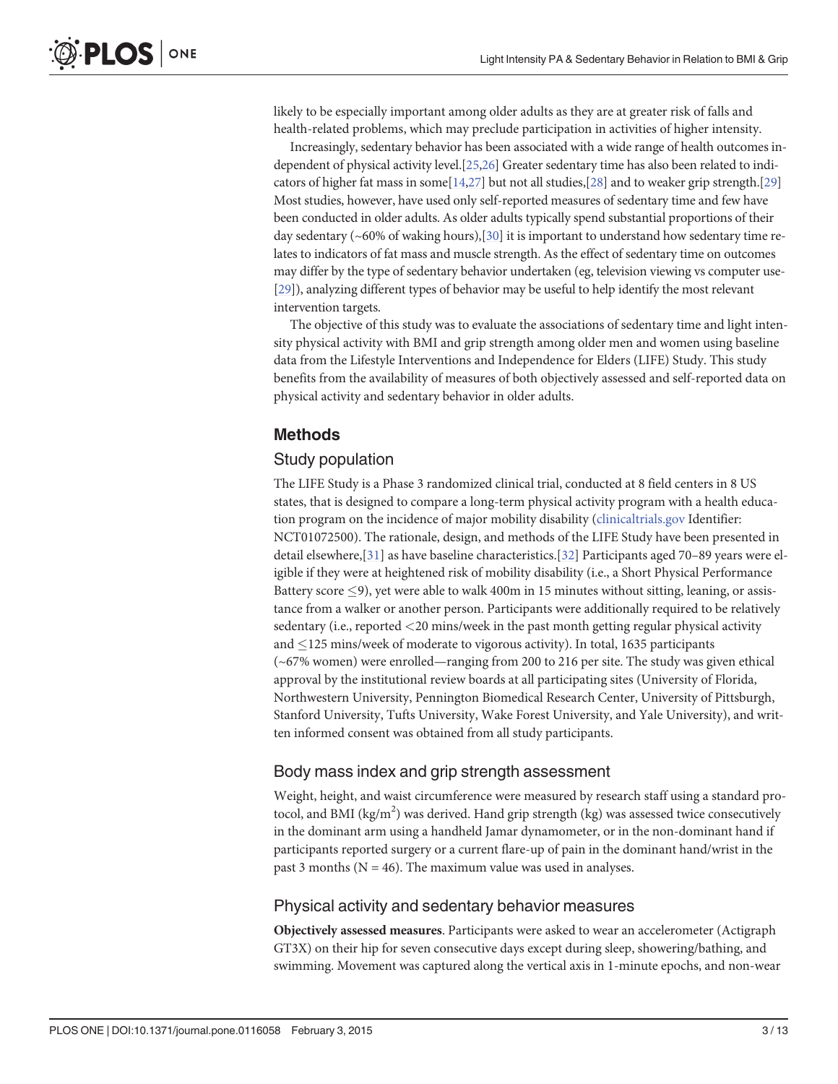<span id="page-2-0"></span>likely to be especially important among older adults as they are at greater risk of falls and health-related problems, which may preclude participation in activities of higher intensity.

Increasingly, sedentary behavior has been associated with a wide range of health outcomes independent of physical activity level.[[25,26\]](#page-11-0) Greater sedentary time has also been related to indicators of higher fat mass in some[[14](#page-10-0)[,27\]](#page-11-0) but not all studies,[\[28\]](#page-11-0) and to weaker grip strength.[\[29\]](#page-11-0) Most studies, however, have used only self-reported measures of sedentary time and few have been conducted in older adults. As older adults typically spend substantial proportions of their day sedentary (~60% of waking hours),[\[30\]](#page-11-0) it is important to understand how sedentary time relates to indicators of fat mass and muscle strength. As the effect of sedentary time on outcomes may differ by the type of sedentary behavior undertaken (eg, television viewing vs computer use- [\[29\]](#page-11-0)), analyzing different types of behavior may be useful to help identify the most relevant intervention targets.

The objective of this study was to evaluate the associations of sedentary time and light intensity physical activity with BMI and grip strength among older men and women using baseline data from the Lifestyle Interventions and Independence for Elders (LIFE) Study. This study benefits from the availability of measures of both objectively assessed and self-reported data on physical activity and sedentary behavior in older adults.

## Methods

#### Study population

The LIFE Study is a Phase 3 randomized clinical trial, conducted at 8 field centers in 8 US states, that is designed to compare a long-term physical activity program with a health education program on the incidence of major mobility disability [\(clinicaltrials.gov](http://clinicaltrials.gov) Identifier: NCT01072500). The rationale, design, and methods of the LIFE Study have been presented in detail elsewhere,[\[31\]](#page-11-0) as have baseline characteristics.[\[32\]](#page-11-0) Participants aged 70–89 years were eligible if they were at heightened risk of mobility disability (i.e., a Short Physical Performance Battery score  $\leq$ 9), yet were able to walk 400m in 15 minutes without sitting, leaning, or assistance from a walker or another person. Participants were additionally required to be relatively sedentary (i.e., reported <20 mins/week in the past month getting regular physical activity and  $\leq$ 125 mins/week of moderate to vigorous activity). In total, 1635 participants (~67% women) were enrolled—ranging from 200 to 216 per site. The study was given ethical approval by the institutional review boards at all participating sites (University of Florida, Northwestern University, Pennington Biomedical Research Center, University of Pittsburgh, Stanford University, Tufts University, Wake Forest University, and Yale University), and written informed consent was obtained from all study participants.

#### Body mass index and grip strength assessment

Weight, height, and waist circumference were measured by research staff using a standard protocol, and BMI (kg/m<sup>2</sup>) was derived. Hand grip strength (kg) was assessed twice consecutively in the dominant arm using a handheld Jamar dynamometer, or in the non-dominant hand if participants reported surgery or a current flare-up of pain in the dominant hand/wrist in the past 3 months ( $N = 46$ ). The maximum value was used in analyses.

#### Physical activity and sedentary behavior measures

Objectively assessed measures. Participants were asked to wear an accelerometer (Actigraph GT3X) on their hip for seven consecutive days except during sleep, showering/bathing, and swimming. Movement was captured along the vertical axis in 1-minute epochs, and non-wear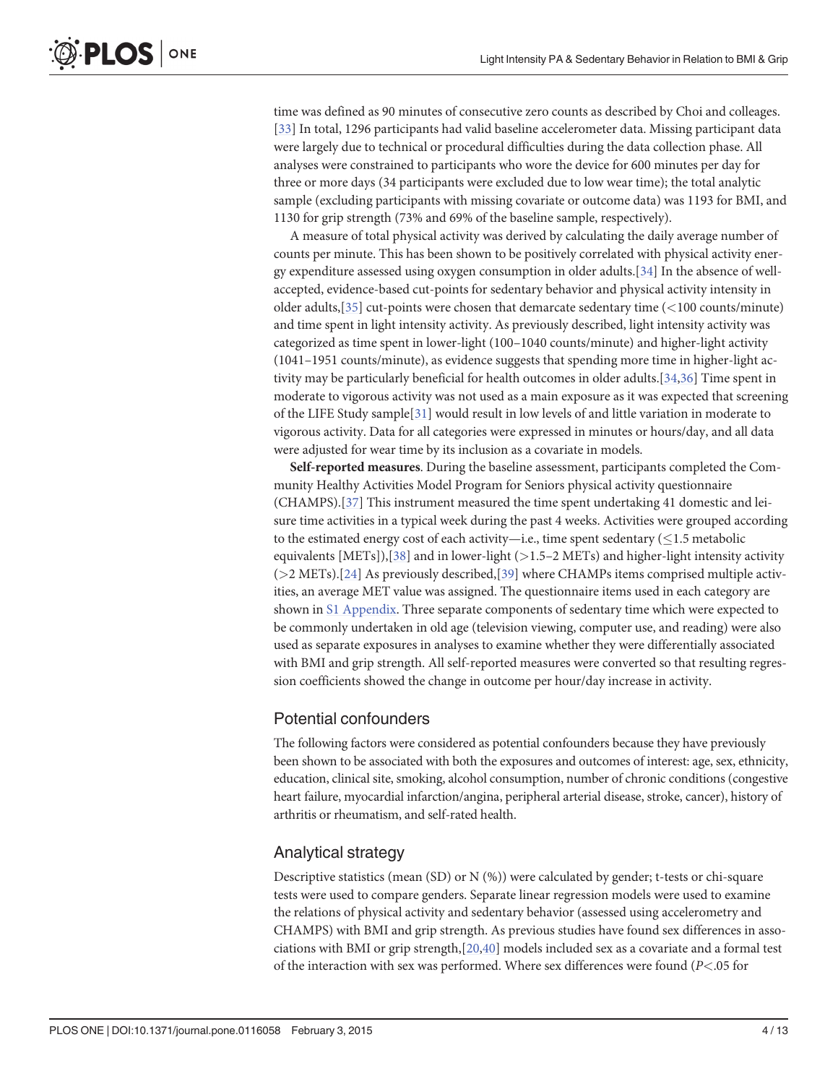<span id="page-3-0"></span>time was defined as 90 minutes of consecutive zero counts as described by Choi and colleages. [\[33](#page-11-0)] In total, 1296 participants had valid baseline accelerometer data. Missing participant data were largely due to technical or procedural difficulties during the data collection phase. All analyses were constrained to participants who wore the device for 600 minutes per day for three or more days (34 participants were excluded due to low wear time); the total analytic sample (excluding participants with missing covariate or outcome data) was 1193 for BMI, and 1130 for grip strength (73% and 69% of the baseline sample, respectively).

A measure of total physical activity was derived by calculating the daily average number of counts per minute. This has been shown to be positively correlated with physical activity energy expenditure assessed using oxygen consumption in older adults.[[34](#page-11-0)] In the absence of wellaccepted, evidence-based cut-points for sedentary behavior and physical activity intensity in older adults,  $[35]$  cut-points were chosen that demarcate sedentary time (<100 counts/minute) and time spent in light intensity activity. As previously described, light intensity activity was categorized as time spent in lower-light (100–1040 counts/minute) and higher-light activity (1041–1951 counts/minute), as evidence suggests that spending more time in higher-light activity may be particularly beneficial for health outcomes in older adults.[\[34,36\]](#page-11-0) Time spent in moderate to vigorous activity was not used as a main exposure as it was expected that screening of the LIFE Study sample[[31\]](#page-11-0) would result in low levels of and little variation in moderate to vigorous activity. Data for all categories were expressed in minutes or hours/day, and all data were adjusted for wear time by its inclusion as a covariate in models.

Self-reported measures. During the baseline assessment, participants completed the Community Healthy Activities Model Program for Seniors physical activity questionnaire (CHAMPS).[[37](#page-11-0)] This instrument measured the time spent undertaking 41 domestic and leisure time activities in a typical week during the past 4 weeks. Activities were grouped according to the estimated energy cost of each activity—i.e., time spent sedentary  $(1.5 \text{ metabolic})$ equivalents  $[METs]$ , [\[38\]](#page-11-0) and in lower-light ( $>1.5-2$  METs) and higher-light intensity activity (>2 METs).[\[24](#page-10-0)] As previously described,[\[39\]](#page-11-0) where CHAMPs items comprised multiple activities, an average MET value was assigned. The questionnaire items used in each category are shown in [S1 Appendix.](#page-9-0) Three separate components of sedentary time which were expected to be commonly undertaken in old age (television viewing, computer use, and reading) were also used as separate exposures in analyses to examine whether they were differentially associated with BMI and grip strength. All self-reported measures were converted so that resulting regression coefficients showed the change in outcome per hour/day increase in activity.

## Potential confounders

The following factors were considered as potential confounders because they have previously been shown to be associated with both the exposures and outcomes of interest: age, sex, ethnicity, education, clinical site, smoking, alcohol consumption, number of chronic conditions (congestive heart failure, myocardial infarction/angina, peripheral arterial disease, stroke, cancer), history of arthritis or rheumatism, and self-rated health.

# Analytical strategy

Descriptive statistics (mean (SD) or N (%)) were calculated by gender; t-tests or chi-square tests were used to compare genders. Separate linear regression models were used to examine the relations of physical activity and sedentary behavior (assessed using accelerometry and CHAMPS) with BMI and grip strength. As previous studies have found sex differences in associations with BMI or grip strength,[[20](#page-10-0),[40](#page-11-0)] models included sex as a covariate and a formal test of the interaction with sex was performed. Where sex differences were found (P<.05 for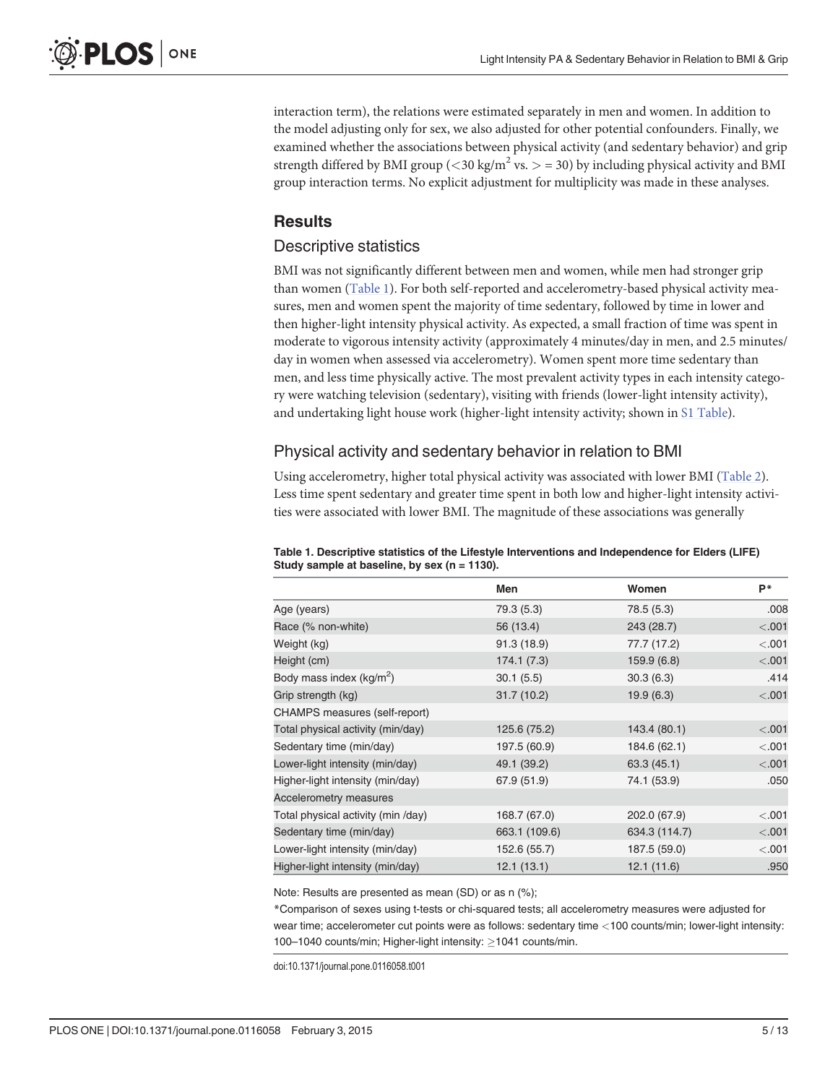<span id="page-4-0"></span>interaction term), the relations were estimated separately in men and women. In addition to the model adjusting only for sex, we also adjusted for other potential confounders. Finally, we examined whether the associations between physical activity (and sedentary behavior) and grip strength differed by BMI group (<30 kg/m<sup>2</sup> vs. > = 30) by including physical activity and BMI group interaction terms. No explicit adjustment for multiplicity was made in these analyses.

## **Results**

#### Descriptive statistics

BMI was not significantly different between men and women, while men had stronger grip than women (Table 1). For both self-reported and accelerometry-based physical activity measures, men and women spent the majority of time sedentary, followed by time in lower and then higher-light intensity physical activity. As expected, a small fraction of time was spent in moderate to vigorous intensity activity (approximately 4 minutes/day in men, and 2.5 minutes/ day in women when assessed via accelerometry). Women spent more time sedentary than men, and less time physically active. The most prevalent activity types in each intensity category were watching television (sedentary), visiting with friends (lower-light intensity activity), and undertaking light house work (higher-light intensity activity; shown in [S1 Table\)](#page-9-0).

#### Physical activity and sedentary behavior in relation to BMI

Using accelerometry, higher total physical activity was associated with lower BMI [\(Table 2](#page-5-0)). Less time spent sedentary and greater time spent in both low and higher-light intensity activities were associated with lower BMI. The magnitude of these associations was generally

|                                    | Men           | Women         | P*     |
|------------------------------------|---------------|---------------|--------|
| Age (years)                        | 79.3 (5.3)    | 78.5 (5.3)    | .008   |
| Race (% non-white)                 | 56 (13.4)     | 243 (28.7)    | < .001 |
| Weight (kg)                        | 91.3 (18.9)   | 77.7 (17.2)   | < .001 |
| Height (cm)                        | 174.1(7.3)    | 159.9(6.8)    | < .001 |
| Body mass index $(kg/m^2)$         | 30.1(5.5)     | 30.3(6.3)     | .414   |
| Grip strength (kg)                 | 31.7(10.2)    | 19.9(6.3)     | < .001 |
| CHAMPS measures (self-report)      |               |               |        |
| Total physical activity (min/day)  | 125.6 (75.2)  | 143.4 (80.1)  | < .001 |
| Sedentary time (min/day)           | 197.5 (60.9)  | 184.6 (62.1)  | < .001 |
| Lower-light intensity (min/day)    | 49.1 (39.2)   | 63.3(45.1)    | < .001 |
| Higher-light intensity (min/day)   | 67.9 (51.9)   | 74.1 (53.9)   | .050   |
| Accelerometry measures             |               |               |        |
| Total physical activity (min /day) | 168.7 (67.0)  | 202.0 (67.9)  | < .001 |
| Sedentary time (min/day)           | 663.1 (109.6) | 634.3 (114.7) | < .001 |
| Lower-light intensity (min/day)    | 152.6 (55.7)  | 187.5 (59.0)  | < .001 |
| Higher-light intensity (min/day)   | 12.1(13.1)    | 12.1(11.6)    | .950   |

#### Table 1. Descriptive statistics of the Lifestyle Interventions and Independence for Elders (LIFE) Study sample at baseline, by sex ( $n = 1130$ ).

Note: Results are presented as mean (SD) or as n (%);

\*Comparison of sexes using t-tests or chi-squared tests; all accelerometry measures were adjusted for wear time; accelerometer cut points were as follows: sedentary time <100 counts/min; lower-light intensity: 100–1040 counts/min; Higher-light intensity:  $\geq$ 1041 counts/min.

doi:10.1371/journal.pone.0116058.t001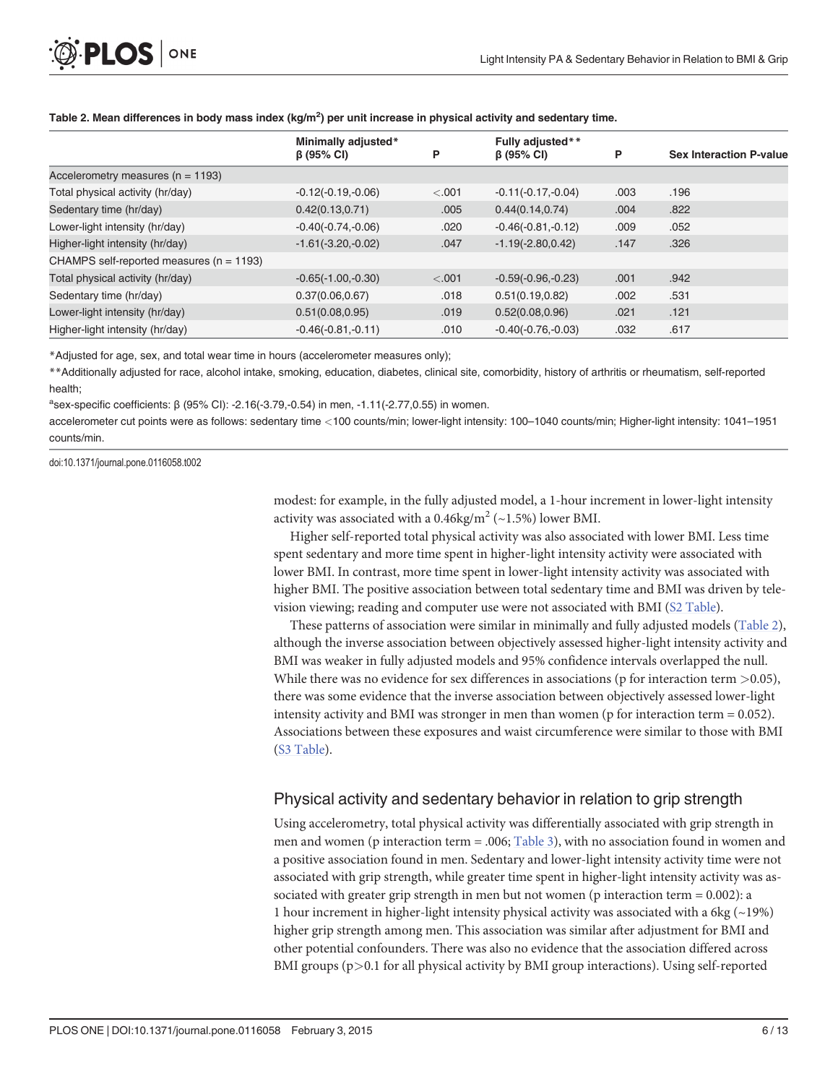<span id="page-5-0"></span>

|                                              | Minimally adjusted*  |         | Fully adjusted**     |      |                                |
|----------------------------------------------|----------------------|---------|----------------------|------|--------------------------------|
|                                              | $\beta$ (95% CI)     | P       | $\beta$ (95% CI)     | P    | <b>Sex Interaction P-value</b> |
| Accelerometry measures ( $n = 1193$ )        |                      |         |                      |      |                                |
| Total physical activity (hr/day)             | $-0.12(-0.19,-0.06)$ | $-.001$ | $-0.11(-0.17,-0.04)$ | .003 | .196                           |
| Sedentary time (hr/day)                      | 0.42(0.13, 0.71)     | .005    | 0.44(0.14, 0.74)     | .004 | .822                           |
| Lower-light intensity (hr/day)               | $-0.40(-0.74,-0.06)$ | .020    | $-0.46(-0.81,-0.12)$ | .009 | .052                           |
| Higher-light intensity (hr/day)              | $-1.61(-3.20,-0.02)$ | .047    | $-1.19(-2.80, 0.42)$ | .147 | .326                           |
| CHAMPS self-reported measures ( $n = 1193$ ) |                      |         |                      |      |                                |
| Total physical activity (hr/day)             | $-0.65(-1.00,-0.30)$ | < .001  | $-0.59(-0.96,-0.23)$ | .001 | .942                           |
| Sedentary time (hr/day)                      | 0.37(0.06, 0.67)     | .018    | 0.51(0.19, 0.82)     | .002 | .531                           |
| Lower-light intensity (hr/day)               | 0.51(0.08, 0.95)     | .019    | 0.52(0.08, 0.96)     | .021 | .121                           |
| Higher-light intensity (hr/day)              | $-0.46(-0.81,-0.11)$ | .010    | $-0.40(-0.76,-0.03)$ | .032 | .617                           |

#### [Table 2.](#page-4-0) Mean differences in body mass index (kg/m $^2$ ) per unit increase in physical activity and sedentary time.

\*Adjusted for age, sex, and total wear time in hours (accelerometer measures only);

\*\*Additionally adjusted for race, alcohol intake, smoking, education, diabetes, clinical site, comorbidity, history of arthritis or rheumatism, self-reported health;

asex-specific coefficients: β (95% CI): -2.16(-3.79,-0.54) in men, -1.11(-2.77,0.55) in women.

accelerometer cut points were as follows: sedentary time <100 counts/min; lower-light intensity: 100–1040 counts/min; Higher-light intensity: 1041–1951 counts/min.

doi:10.1371/journal.pone.0116058.t002

modest: for example, in the fully adjusted model, a 1-hour increment in lower-light intensity activity was associated with a  $0.46 \text{kg/m}^2$  (~1.5%) lower BMI.

Higher self-reported total physical activity was also associated with lower BMI. Less time spent sedentary and more time spent in higher-light intensity activity were associated with lower BMI. In contrast, more time spent in lower-light intensity activity was associated with higher BMI. The positive association between total sedentary time and BMI was driven by television viewing; reading and computer use were not associated with BMI [\(S2 Table](#page-9-0)).

These patterns of association were similar in minimally and fully adjusted models (Table 2), although the inverse association between objectively assessed higher-light intensity activity and BMI was weaker in fully adjusted models and 95% confidence intervals overlapped the null. While there was no evidence for sex differences in associations (p for interaction term  $>0.05$ ), there was some evidence that the inverse association between objectively assessed lower-light intensity activity and BMI was stronger in men than women (p for interaction term = 0.052). Associations between these exposures and waist circumference were similar to those with BMI [\(S3 Table](#page-9-0)).

## Physical activity and sedentary behavior in relation to grip strength

Using accelerometry, total physical activity was differentially associated with grip strength in men and women (p interaction term = .006; [Table 3\)](#page-6-0), with no association found in women and a positive association found in men. Sedentary and lower-light intensity activity time were not associated with grip strength, while greater time spent in higher-light intensity activity was associated with greater grip strength in men but not women (p interaction term = 0.002): a 1 hour increment in higher-light intensity physical activity was associated with a 6kg  $(\sim 19\%)$ higher grip strength among men. This association was similar after adjustment for BMI and other potential confounders. There was also no evidence that the association differed across BMI groups (p>0.1 for all physical activity by BMI group interactions). Using self-reported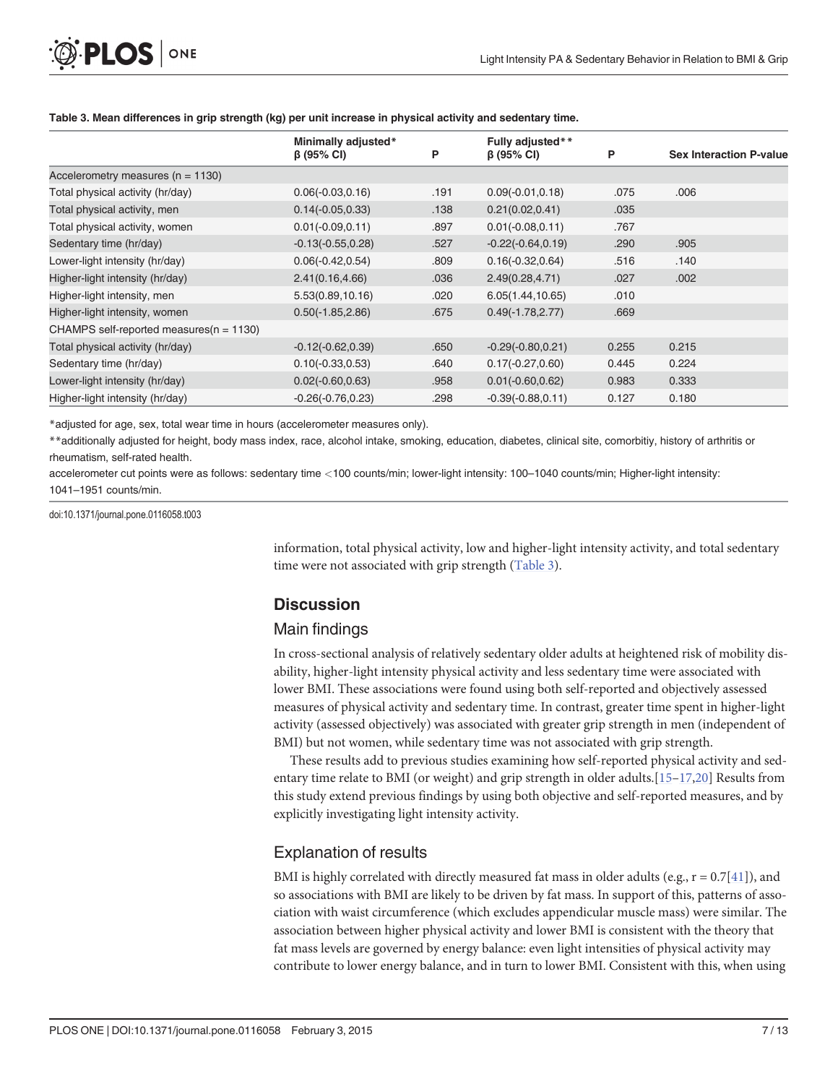<span id="page-6-0"></span>

| O PLOS ONE |  |
|------------|--|
|------------|--|

|                                            | Minimally adjusted*  |      | <b>Fully adjusted**</b> |       |                                |
|--------------------------------------------|----------------------|------|-------------------------|-------|--------------------------------|
|                                            | $\beta$ (95% CI)     | P    | $\beta$ (95% CI)        | P     | <b>Sex Interaction P-value</b> |
| Accelerometry measures $(n = 1130)$        |                      |      |                         |       |                                |
| Total physical activity (hr/day)           | $0.06(-0.03, 0.16)$  | .191 | $0.09(-0.01, 0.18)$     | .075  | .006                           |
| Total physical activity, men               | $0.14(-0.05, 0.33)$  | .138 | 0.21(0.02, 0.41)        | .035  |                                |
| Total physical activity, women             | $0.01(-0.09, 0.11)$  | .897 | $0.01(-0.08, 0.11)$     | .767  |                                |
| Sedentary time (hr/day)                    | $-0.13(-0.55, 0.28)$ | .527 | $-0.22(-0.64, 0.19)$    | .290  | .905                           |
| Lower-light intensity (hr/day)             | $0.06(-0.42, 0.54)$  | .809 | $0.16(-0.32, 0.64)$     | .516  | .140                           |
| Higher-light intensity (hr/day)            | 2.41(0.16, 4.66)     | .036 | 2.49(0.28, 4.71)        | .027  | .002                           |
| Higher-light intensity, men                | 5.53(0.89, 10.16)    | .020 | 6.05(1.44, 10.65)       | .010  |                                |
| Higher-light intensity, women              | $0.50(-1.85, 2.86)$  | .675 | $0.49(-1.78, 2.77)$     | .669  |                                |
| CHAMPS self-reported measures $(n = 1130)$ |                      |      |                         |       |                                |
| Total physical activity (hr/day)           | $-0.12(-0.62, 0.39)$ | .650 | $-0.29(-0.80, 0.21)$    | 0.255 | 0.215                          |
| Sedentary time (hr/day)                    | $0.10(-0.33, 0.53)$  | .640 | $0.17(-0.27, 0.60)$     | 0.445 | 0.224                          |
| Lower-light intensity (hr/day)             | $0.02(-0.60, 0.63)$  | .958 | $0.01(-0.60, 0.62)$     | 0.983 | 0.333                          |
| Higher-light intensity (hr/day)            | $-0.26(-0.76, 0.23)$ | .298 | $-0.39(-0.88, 0.11)$    | 0.127 | 0.180                          |

#### [Table 3.](#page-5-0) Mean differences in grip strength (kg) per unit increase in physical activity and sedentary time.

\*adjusted for age, sex, total wear time in hours (accelerometer measures only).

\*\*additionally adjusted for height, body mass index, race, alcohol intake, smoking, education, diabetes, clinical site, comorbitiy, history of arthritis or rheumatism, self-rated health.

accelerometer cut points were as follows: sedentary time <100 counts/min; lower-light intensity: 100–1040 counts/min; Higher-light intensity: 1041–1951 counts/min.

doi:10.1371/journal.pone.0116058.t003

information, total physical activity, low and higher-light intensity activity, and total sedentary time were not associated with grip strength (Table 3).

## **Discussion**

#### Main findings

In cross-sectional analysis of relatively sedentary older adults at heightened risk of mobility disability, higher-light intensity physical activity and less sedentary time were associated with lower BMI. These associations were found using both self-reported and objectively assessed measures of physical activity and sedentary time. In contrast, greater time spent in higher-light activity (assessed objectively) was associated with greater grip strength in men (independent of BMI) but not women, while sedentary time was not associated with grip strength.

These results add to previous studies examining how self-reported physical activity and sedentary time relate to BMI (or weight) and grip strength in older adults. $[15-17,20]$  $[15-17,20]$  $[15-17,20]$  $[15-17,20]$  Results from this study extend previous findings by using both objective and self-reported measures, and by explicitly investigating light intensity activity.

## Explanation of results

BMI is highly correlated with directly measured fat mass in older adults (e.g.,  $r = 0.7[41]$  $r = 0.7[41]$  $r = 0.7[41]$ ), and so associations with BMI are likely to be driven by fat mass. In support of this, patterns of association with waist circumference (which excludes appendicular muscle mass) were similar. The association between higher physical activity and lower BMI is consistent with the theory that fat mass levels are governed by energy balance: even light intensities of physical activity may contribute to lower energy balance, and in turn to lower BMI. Consistent with this, when using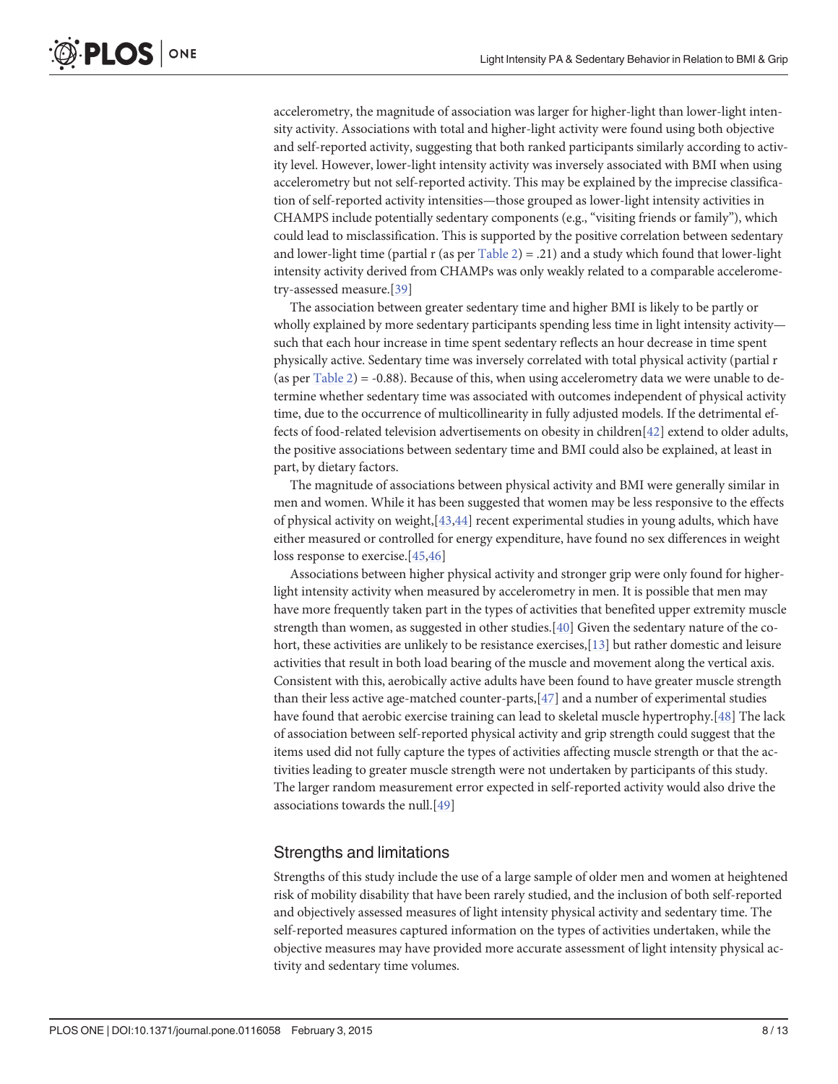<span id="page-7-0"></span>accelerometry, the magnitude of association was larger for higher-light than lower-light intensity activity. Associations with total and higher-light activity were found using both objective and self-reported activity, suggesting that both ranked participants similarly according to activity level. However, lower-light intensity activity was inversely associated with BMI when using accelerometry but not self-reported activity. This may be explained by the imprecise classification of self-reported activity intensities—those grouped as lower-light intensity activities in CHAMPS include potentially sedentary components (e.g., "visiting friends or family"), which could lead to misclassification. This is supported by the positive correlation between sedentary and lower-light time (partial r (as per  $Table 2$ ) = .21) and a study which found that lower-light intensity activity derived from CHAMPs was only weakly related to a comparable accelerometry-assessed measure.[[39](#page-11-0)]

The association between greater sedentary time and higher BMI is likely to be partly or wholly explained by more sedentary participants spending less time in light intensity activity such that each hour increase in time spent sedentary reflects an hour decrease in time spent physically active. Sedentary time was inversely correlated with total physical activity (partial r (as per [Table 2](#page-5-0)) =  $-0.88$ ). Because of this, when using accelerometry data we were unable to determine whether sedentary time was associated with outcomes independent of physical activity time, due to the occurrence of multicollinearity in fully adjusted models. If the detrimental effects of food-related television advertisements on obesity in children[[42](#page-11-0)] extend to older adults, the positive associations between sedentary time and BMI could also be explained, at least in part, by dietary factors.

The magnitude of associations between physical activity and BMI were generally similar in men and women. While it has been suggested that women may be less responsive to the effects of physical activity on weight, $[43,44]$  $[43,44]$  $[43,44]$  recent experimental studies in young adults, which have either measured or controlled for energy expenditure, have found no sex differences in weight loss response to exercise.[\[45,](#page-11-0)[46\]](#page-12-0)

Associations between higher physical activity and stronger grip were only found for higherlight intensity activity when measured by accelerometry in men. It is possible that men may have more frequently taken part in the types of activities that benefited upper extremity muscle strength than women, as suggested in other studies.[[40](#page-11-0)] Given the sedentary nature of the co-hort, these activities are unlikely to be resistance exercises, [[13](#page-10-0)] but rather domestic and leisure activities that result in both load bearing of the muscle and movement along the vertical axis. Consistent with this, aerobically active adults have been found to have greater muscle strength than their less active age-matched counter-parts, $[47]$  $[47]$  $[47]$  and a number of experimental studies have found that aerobic exercise training can lead to skeletal muscle hypertrophy.[[48\]](#page-12-0) The lack of association between self-reported physical activity and grip strength could suggest that the items used did not fully capture the types of activities affecting muscle strength or that the activities leading to greater muscle strength were not undertaken by participants of this study. The larger random measurement error expected in self-reported activity would also drive the associations towards the null.[[49](#page-12-0)]

## Strengths and limitations

Strengths of this study include the use of a large sample of older men and women at heightened risk of mobility disability that have been rarely studied, and the inclusion of both self-reported and objectively assessed measures of light intensity physical activity and sedentary time. The self-reported measures captured information on the types of activities undertaken, while the objective measures may have provided more accurate assessment of light intensity physical activity and sedentary time volumes.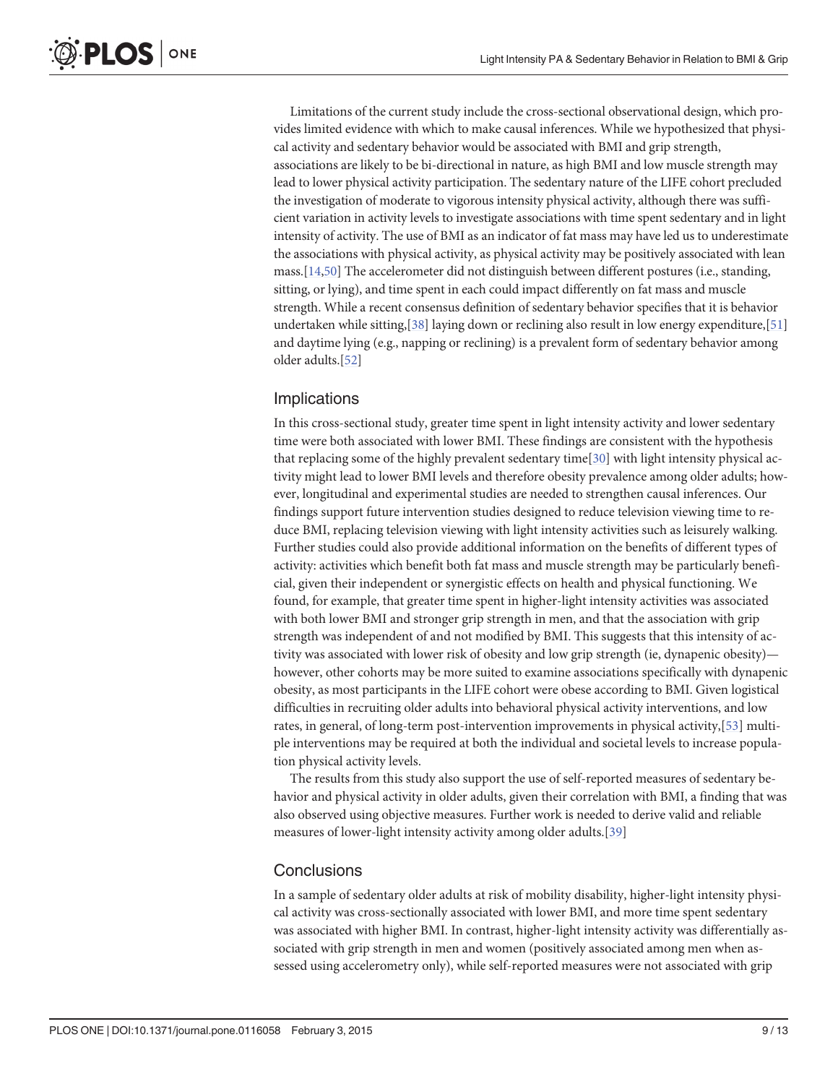<span id="page-8-0"></span>Limitations of the current study include the cross-sectional observational design, which provides limited evidence with which to make causal inferences. While we hypothesized that physical activity and sedentary behavior would be associated with BMI and grip strength, associations are likely to be bi-directional in nature, as high BMI and low muscle strength may lead to lower physical activity participation. The sedentary nature of the LIFE cohort precluded the investigation of moderate to vigorous intensity physical activity, although there was sufficient variation in activity levels to investigate associations with time spent sedentary and in light intensity of activity. The use of BMI as an indicator of fat mass may have led us to underestimate the associations with physical activity, as physical activity may be positively associated with lean mass.[\[14,](#page-10-0)[50](#page-12-0)] The accelerometer did not distinguish between different postures (i.e., standing, sitting, or lying), and time spent in each could impact differently on fat mass and muscle strength. While a recent consensus definition of sedentary behavior specifies that it is behavior undertaken while sitting,[[38](#page-11-0)] laying down or reclining also result in low energy expenditure,[\[51](#page-12-0)] and daytime lying (e.g., napping or reclining) is a prevalent form of sedentary behavior among older adults.[[52](#page-12-0)]

## Implications

In this cross-sectional study, greater time spent in light intensity activity and lower sedentary time were both associated with lower BMI. These findings are consistent with the hypothesis that replacing some of the highly prevalent sedentary time[\[30\]](#page-11-0) with light intensity physical activity might lead to lower BMI levels and therefore obesity prevalence among older adults; however, longitudinal and experimental studies are needed to strengthen causal inferences. Our findings support future intervention studies designed to reduce television viewing time to reduce BMI, replacing television viewing with light intensity activities such as leisurely walking. Further studies could also provide additional information on the benefits of different types of activity: activities which benefit both fat mass and muscle strength may be particularly beneficial, given their independent or synergistic effects on health and physical functioning. We found, for example, that greater time spent in higher-light intensity activities was associated with both lower BMI and stronger grip strength in men, and that the association with grip strength was independent of and not modified by BMI. This suggests that this intensity of activity was associated with lower risk of obesity and low grip strength (ie, dynapenic obesity) however, other cohorts may be more suited to examine associations specifically with dynapenic obesity, as most participants in the LIFE cohort were obese according to BMI. Given logistical difficulties in recruiting older adults into behavioral physical activity interventions, and low rates, in general, of long-term post-intervention improvements in physical activity,[\[53\]](#page-12-0) multiple interventions may be required at both the individual and societal levels to increase population physical activity levels.

The results from this study also support the use of self-reported measures of sedentary behavior and physical activity in older adults, given their correlation with BMI, a finding that was also observed using objective measures. Further work is needed to derive valid and reliable measures of lower-light intensity activity among older adults.[\[39\]](#page-11-0)

## **Conclusions**

In a sample of sedentary older adults at risk of mobility disability, higher-light intensity physical activity was cross-sectionally associated with lower BMI, and more time spent sedentary was associated with higher BMI. In contrast, higher-light intensity activity was differentially associated with grip strength in men and women (positively associated among men when assessed using accelerometry only), while self-reported measures were not associated with grip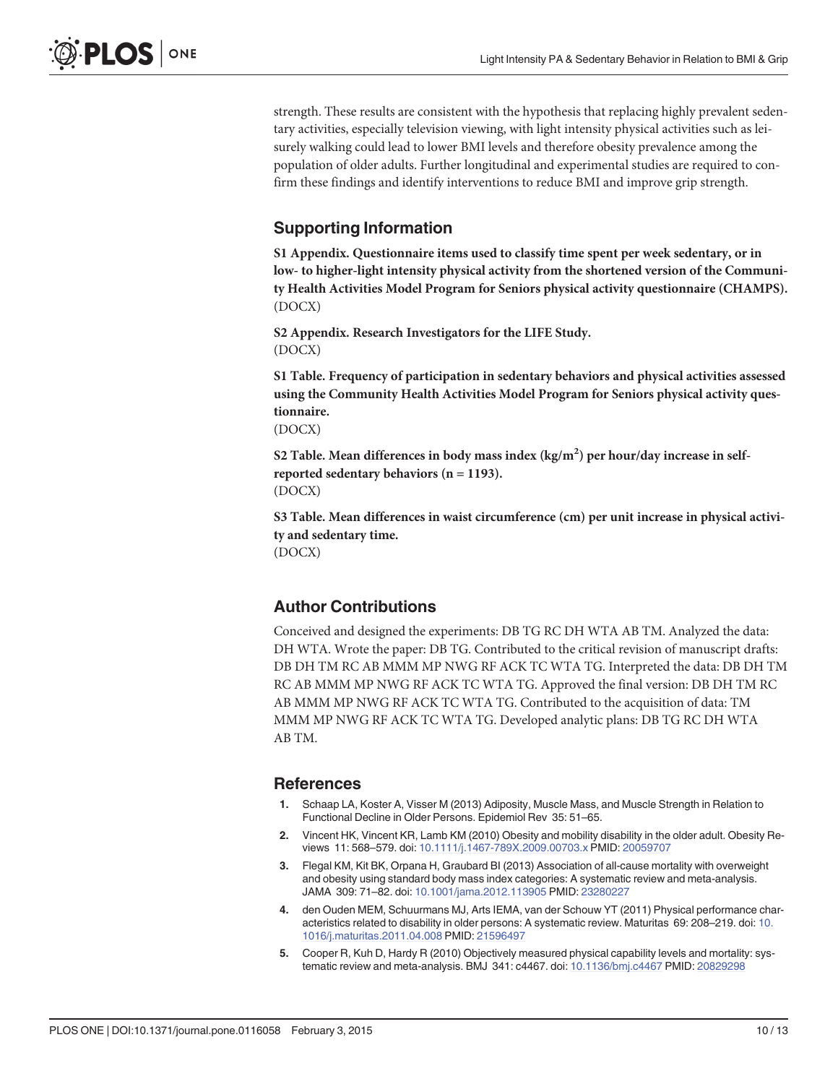<span id="page-9-0"></span>strength. These results are consistent with the hypothesis that replacing highly prevalent sedentary activities, especially television viewing, with light intensity physical activities such as leisurely walking could lead to lower BMI levels and therefore obesity prevalence among the population of older adults. Further longitudinal and experimental studies are required to confirm these findings and identify interventions to reduce BMI and improve grip strength.

#### Supporting Information

[S1 Appendix.](http://www.plosone.org/article/fetchSingleRepresentation.action?uri=info:doi/10.1371/journal.pone.0116058.s001) Questionnaire items used to classify time spent per week sedentary, or in low- to higher-light intensity physical activity from the shortened version of the Community Health Activities Model Program for Seniors physical activity questionnaire (CHAMPS). (DOCX)

[S2 Appendix.](http://www.plosone.org/article/fetchSingleRepresentation.action?uri=info:doi/10.1371/journal.pone.0116058.s002) Research Investigators for the LIFE Study. (DOCX)

[S1 Table](http://www.plosone.org/article/fetchSingleRepresentation.action?uri=info:doi/10.1371/journal.pone.0116058.s003). Frequency of participation in sedentary behaviors and physical activities assessed using the Community Health Activities Model Program for Seniors physical activity questionnaire.

(DOCX)

[S2 Table](http://www.plosone.org/article/fetchSingleRepresentation.action?uri=info:doi/10.1371/journal.pone.0116058.s004). Mean differences in body mass index (kg/m<sup>2</sup>) per hour/day increase in selfreported sedentary behaviors (n = 1193). (DOCX)

[S3 Table](http://www.plosone.org/article/fetchSingleRepresentation.action?uri=info:doi/10.1371/journal.pone.0116058.s005). Mean differences in waist circumference (cm) per unit increase in physical activity and sedentary time. (DOCX)

#### Author Contributions

Conceived and designed the experiments: DB TG RC DH WTA AB TM. Analyzed the data: DH WTA. Wrote the paper: DB TG. Contributed to the critical revision of manuscript drafts: DB DH TM RC AB MMM MP NWG RF ACK TC WTA TG. Interpreted the data: DB DH TM RC AB MMM MP NWG RF ACK TC WTA TG. Approved the final version: DB DH TM RC AB MMM MP NWG RF ACK TC WTA TG. Contributed to the acquisition of data: TM MMM MP NWG RF ACK TC WTA TG. Developed analytic plans: DB TG RC DH WTA AB TM.

#### References

- [1.](#page-1-0) Schaap LA, Koster A, Visser M (2013) Adiposity, Muscle Mass, and Muscle Strength in Relation to Functional Decline in Older Persons. Epidemiol Rev 35: 51–65.
- [2.](#page-1-0) Vincent HK, Vincent KR, Lamb KM (2010) Obesity and mobility disability in the older adult. Obesity Reviews 11: 568–579. doi: [10.1111/j.1467-789X.2009.00703.x](http://dx.doi.org/10.1111/j.1467-789X.2009.00703.x) PMID: [20059707](http://www.ncbi.nlm.nih.gov/pubmed/20059707)
- [3.](#page-1-0) Flegal KM, Kit BK, Orpana H, Graubard BI (2013) Association of all-cause mortality with overweight and obesity using standard body mass index categories: A systematic review and meta-analysis. JAMA 309: 71–82. doi: [10.1001/jama.2012.113905](http://dx.doi.org/10.1001/jama.2012.113905) PMID: [23280227](http://www.ncbi.nlm.nih.gov/pubmed/23280227)
- [4.](#page-1-0) den Ouden MEM, Schuurmans MJ, Arts IEMA, van der Schouw YT (2011) Physical performance characteristics related to disability in older persons: A systematic review. Maturitas 69: 208–219. doi: [10.](http://dx.doi.org/10.1016/j.maturitas.2011.04.008) [1016/j.maturitas.2011.04.008](http://dx.doi.org/10.1016/j.maturitas.2011.04.008) PMID: [21596497](http://www.ncbi.nlm.nih.gov/pubmed/21596497)
- [5.](#page-1-0) Cooper R, Kuh D, Hardy R (2010) Objectively measured physical capability levels and mortality: systematic review and meta-analysis. BMJ 341: c4467. doi: [10.1136/bmj.c4467](http://dx.doi.org/10.1136/bmj.c4467) PMID: [20829298](http://www.ncbi.nlm.nih.gov/pubmed/20829298)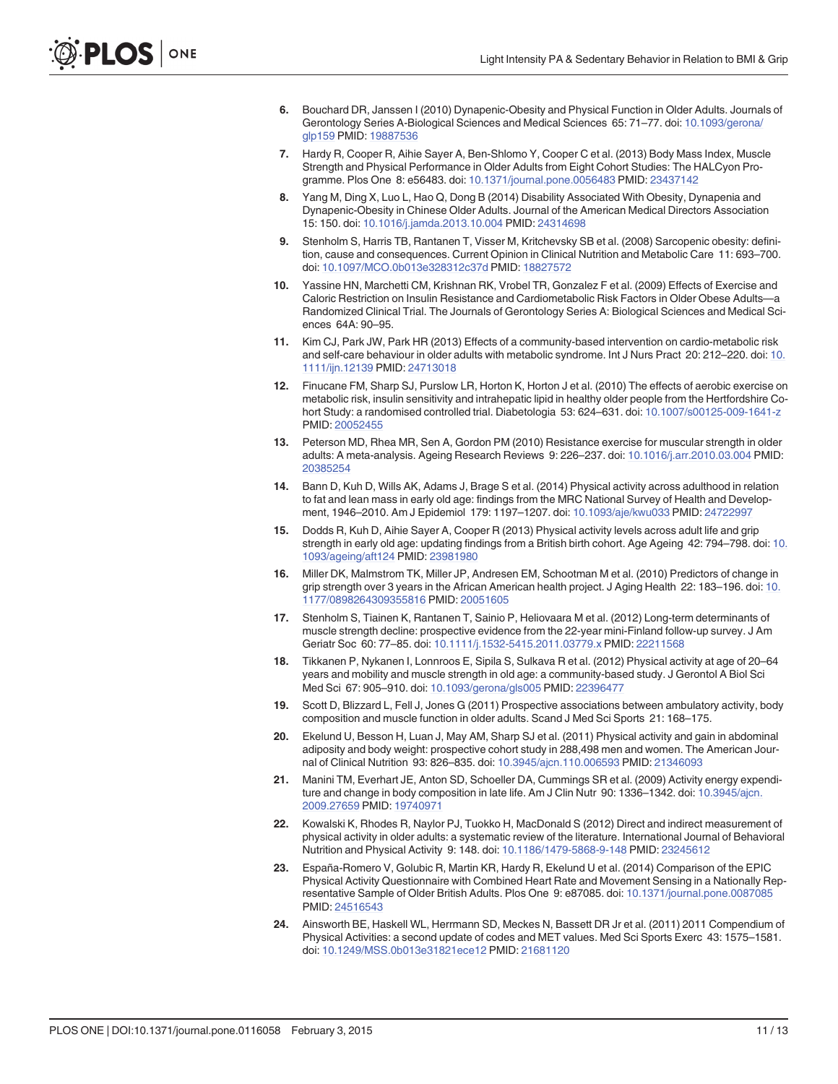- <span id="page-10-0"></span>[6.](#page-1-0) Bouchard DR, Janssen I (2010) Dynapenic-Obesity and Physical Function in Older Adults. Journals of Gerontology Series A-Biological Sciences and Medical Sciences 65: 71–77. doi: [10.1093/gerona/](http://dx.doi.org/10.1093/gerona/glp159) [glp159](http://dx.doi.org/10.1093/gerona/glp159) PMID: [19887536](http://www.ncbi.nlm.nih.gov/pubmed/19887536)
- 7. Hardy R, Cooper R, Aihie Sayer A, Ben-Shlomo Y, Cooper C et al. (2013) Body Mass Index, Muscle Strength and Physical Performance in Older Adults from Eight Cohort Studies: The HALCyon Pro-gramme. Plos One 8: e56483. doi: [10.1371/journal.pone.0056483](http://dx.doi.org/10.1371/journal.pone.0056483) PMID: [23437142](http://www.ncbi.nlm.nih.gov/pubmed/23437142)
- [8.](#page-1-0) Yang M, Ding X, Luo L, Hao Q, Dong B (2014) Disability Associated With Obesity, Dynapenia and Dynapenic-Obesity in Chinese Older Adults. Journal of the American Medical Directors Association 15: 150. doi: [10.1016/j.jamda.2013.10.004](http://dx.doi.org/10.1016/j.jamda.2013.10.004) PMID: [24314698](http://www.ncbi.nlm.nih.gov/pubmed/24314698)
- [9.](#page-1-0) Stenholm S, Harris TB, Rantanen T, Visser M, Kritchevsky SB et al. (2008) Sarcopenic obesity: definition, cause and consequences. Current Opinion in Clinical Nutrition and Metabolic Care 11: 693–700. doi: [10.1097/MCO.0b013e328312c37d](http://dx.doi.org/10.1097/MCO.0b013e328312c37d) PMID: [18827572](http://www.ncbi.nlm.nih.gov/pubmed/18827572)
- Yassine HN, Marchetti CM, Krishnan RK, Vrobel TR, Gonzalez F et al. (2009) Effects of Exercise and Caloric Restriction on Insulin Resistance and Cardiometabolic Risk Factors in Older Obese Adults—a Randomized Clinical Trial. The Journals of Gerontology Series A: Biological Sciences and Medical Sciences 64A: 90–95.
- 11. Kim CJ, Park JW, Park HR (2013) Effects of a community-based intervention on cardio-metabolic risk and self-care behaviour in older adults with metabolic syndrome. Int J Nurs Pract 20: 212–220. doi: [10.](http://dx.doi.org/10.1111/ijn.12139) [1111/ijn.12139](http://dx.doi.org/10.1111/ijn.12139) PMID: [24713018](http://www.ncbi.nlm.nih.gov/pubmed/24713018)
- [12.](#page-1-0) Finucane FM, Sharp SJ, Purslow LR, Horton K, Horton J et al. (2010) The effects of aerobic exercise on metabolic risk, insulin sensitivity and intrahepatic lipid in healthy older people from the Hertfordshire Cohort Study: a randomised controlled trial. Diabetologia 53: 624–631. doi: [10.1007/s00125-009-1641-z](http://dx.doi.org/10.1007/s00125-009-1641-z) PMID: [20052455](http://www.ncbi.nlm.nih.gov/pubmed/20052455)
- [13.](#page-1-0) Peterson MD, Rhea MR, Sen A, Gordon PM (2010) Resistance exercise for muscular strength in older adults: A meta-analysis. Ageing Research Reviews 9: 226–237. doi: [10.1016/j.arr.2010.03.004](http://dx.doi.org/10.1016/j.arr.2010.03.004) PMID: [20385254](http://www.ncbi.nlm.nih.gov/pubmed/20385254)
- [14.](#page-1-0) Bann D, Kuh D, Wills AK, Adams J, Brage S et al. (2014) Physical activity across adulthood in relation to fat and lean mass in early old age: findings from the MRC National Survey of Health and Development, 1946–2010. Am J Epidemiol 179: 1197–1207. doi: [10.1093/aje/kwu033](http://dx.doi.org/10.1093/aje/kwu033) PMID: [24722997](http://www.ncbi.nlm.nih.gov/pubmed/24722997)
- [15.](#page-1-0) Dodds R, Kuh D, Aihie Sayer A, Cooper R (2013) Physical activity levels across adult life and grip strength in early old age: updating findings from a British birth cohort. Age Ageing 42: 794–798. doi: [10.](http://dx.doi.org/10.1093/ageing/aft124) [1093/ageing/aft124](http://dx.doi.org/10.1093/ageing/aft124) PMID: [23981980](http://www.ncbi.nlm.nih.gov/pubmed/23981980)
- 16. Miller DK, Malmstrom TK, Miller JP, Andresen EM, Schootman M et al. (2010) Predictors of change in grip strength over 3 years in the African American health project. J Aging Health 22: 183-196. doi: [10.](http://dx.doi.org/10.1177/0898264309355816) [1177/0898264309355816](http://dx.doi.org/10.1177/0898264309355816) PMID: [20051605](http://www.ncbi.nlm.nih.gov/pubmed/20051605)
- [17.](#page-1-0) Stenholm S, Tiainen K, Rantanen T, Sainio P, Heliovaara M et al. (2012) Long-term determinants of muscle strength decline: prospective evidence from the 22-year mini-Finland follow-up survey. J Am Geriatr Soc 60: 77–85. doi: [10.1111/j.1532-5415.2011.03779.x](http://dx.doi.org/10.1111/j.1532-5415.2011.03779.x) PMID: [22211568](http://www.ncbi.nlm.nih.gov/pubmed/22211568)
- [18.](#page-1-0) Tikkanen P, Nykanen I, Lonnroos E, Sipila S, Sulkava R et al. (2012) Physical activity at age of 20–64 years and mobility and muscle strength in old age: a community-based study. J Gerontol A Biol Sci Med Sci 67: 905–910. doi: [10.1093/gerona/gls005](http://dx.doi.org/10.1093/gerona/gls005) PMID: [22396477](http://www.ncbi.nlm.nih.gov/pubmed/22396477)
- 19. Scott D, Blizzard L, Fell J, Jones G (2011) Prospective associations between ambulatory activity, body composition and muscle function in older adults. Scand J Med Sci Sports 21: 168–175.
- [20.](#page-1-0) Ekelund U, Besson H, Luan J, May AM, Sharp SJ et al. (2011) Physical activity and gain in abdominal adiposity and body weight: prospective cohort study in 288,498 men and women. The American Journal of Clinical Nutrition 93: 826–835. doi: [10.3945/ajcn.110.006593](http://dx.doi.org/10.3945/ajcn.110.006593) PMID: [21346093](http://www.ncbi.nlm.nih.gov/pubmed/21346093)
- [21.](#page-1-0) Manini TM, Everhart JE, Anton SD, Schoeller DA, Cummings SR et al. (2009) Activity energy expenditure and change in body composition in late life. Am J Clin Nutr 90: 1336–1342. doi: [10.3945/ajcn.](http://dx.doi.org/10.3945/ajcn.2009.27659) [2009.27659](http://dx.doi.org/10.3945/ajcn.2009.27659) PMID: [19740971](http://www.ncbi.nlm.nih.gov/pubmed/19740971)
- [22.](#page-1-0) Kowalski K, Rhodes R, Naylor PJ, Tuokko H, MacDonald S (2012) Direct and indirect measurement of physical activity in older adults: a systematic review of the literature. International Journal of Behavioral Nutrition and Physical Activity 9: 148. doi: [10.1186/1479-5868-9-148](http://dx.doi.org/10.1186/1479-5868-9-148) PMID: [23245612](http://www.ncbi.nlm.nih.gov/pubmed/23245612)
- [23.](#page-1-0) España-Romero V, Golubic R, Martin KR, Hardy R, Ekelund U et al. (2014) Comparison of the EPIC Physical Activity Questionnaire with Combined Heart Rate and Movement Sensing in a Nationally Representative Sample of Older British Adults. Plos One 9: e87085. doi: [10.1371/journal.pone.0087085](http://dx.doi.org/10.1371/journal.pone.0087085) PMID: [24516543](http://www.ncbi.nlm.nih.gov/pubmed/24516543)
- [24.](#page-1-0) Ainsworth BE, Haskell WL, Herrmann SD, Meckes N, Bassett DR Jr et al. (2011) 2011 Compendium of Physical Activities: a second update of codes and MET values. Med Sci Sports Exerc 43: 1575–1581. doi: [10.1249/MSS.0b013e31821ece12](http://dx.doi.org/10.1249/MSS.0b013e31821ece12) PMID: [21681120](http://www.ncbi.nlm.nih.gov/pubmed/21681120)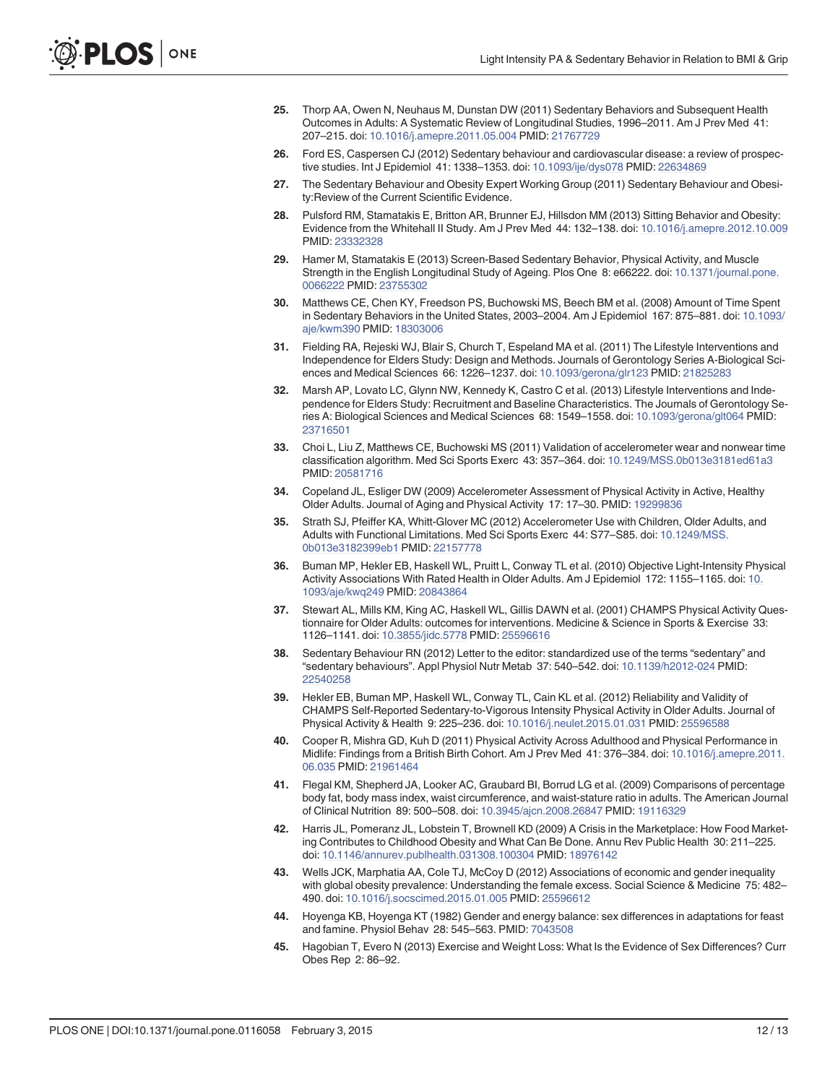- <span id="page-11-0"></span>[25.](#page-2-0) Thorp AA, Owen N, Neuhaus M, Dunstan DW (2011) Sedentary Behaviors and Subsequent Health Outcomes in Adults: A Systematic Review of Longitudinal Studies, 1996–2011. Am J Prev Med 41: 207–215. doi: [10.1016/j.amepre.2011.05.004](http://dx.doi.org/10.1016/j.amepre.2011.05.004) PMID: [21767729](http://www.ncbi.nlm.nih.gov/pubmed/21767729)
- [26.](#page-2-0) Ford ES, Caspersen CJ (2012) Sedentary behaviour and cardiovascular disease: a review of prospec-tive studies. Int J Epidemiol 41: 1338-1353. doi: [10.1093/ije/dys078](http://dx.doi.org/10.1093/ije/dys078) PMID: [22634869](http://www.ncbi.nlm.nih.gov/pubmed/22634869)
- [27.](#page-2-0) The Sedentary Behaviour and Obesity Expert Working Group (2011) Sedentary Behaviour and Obesity:Review of the Current Scientific Evidence.
- [28.](#page-2-0) Pulsford RM, Stamatakis E, Britton AR, Brunner EJ, Hillsdon MM (2013) Sitting Behavior and Obesity: Evidence from the Whitehall II Study. Am J Prev Med 44: 132–138. doi: [10.1016/j.amepre.2012.10.009](http://dx.doi.org/10.1016/j.amepre.2012.10.009) PMID: [23332328](http://www.ncbi.nlm.nih.gov/pubmed/23332328)
- [29.](#page-2-0) Hamer M, Stamatakis E (2013) Screen-Based Sedentary Behavior, Physical Activity, and Muscle Strength in the English Longitudinal Study of Ageing. Plos One 8: e66222. doi: [10.1371/journal.pone.](http://dx.doi.org/10.1371/journal.pone.0066222) [0066222](http://dx.doi.org/10.1371/journal.pone.0066222) PMID: [23755302](http://www.ncbi.nlm.nih.gov/pubmed/23755302)
- [30.](#page-2-0) Matthews CE, Chen KY, Freedson PS, Buchowski MS, Beech BM et al. (2008) Amount of Time Spent in Sedentary Behaviors in the United States, 2003-2004. Am J Epidemiol 167: 875-881. doi: [10.1093/](http://dx.doi.org/10.1093/aje/kwm390) [aje/kwm390](http://dx.doi.org/10.1093/aje/kwm390) PMID: [18303006](http://www.ncbi.nlm.nih.gov/pubmed/18303006)
- [31.](#page-2-0) Fielding RA, Rejeski WJ, Blair S, Church T, Espeland MA et al. (2011) The Lifestyle Interventions and Independence for Elders Study: Design and Methods. Journals of Gerontology Series A-Biological Sciences and Medical Sciences 66: 1226–1237. doi: [10.1093/gerona/glr123](http://dx.doi.org/10.1093/gerona/glr123) PMID: [21825283](http://www.ncbi.nlm.nih.gov/pubmed/21825283)
- [32.](#page-2-0) Marsh AP, Lovato LC, Glynn NW, Kennedy K, Castro C et al. (2013) Lifestyle Interventions and Independence for Elders Study: Recruitment and Baseline Characteristics. The Journals of Gerontology Series A: Biological Sciences and Medical Sciences 68: 1549–1558. doi: [10.1093/gerona/glt064](http://dx.doi.org/10.1093/gerona/glt064) PMID: [23716501](http://www.ncbi.nlm.nih.gov/pubmed/23716501)
- [33.](#page-3-0) Choi L, Liu Z, Matthews CE, Buchowski MS (2011) Validation of accelerometer wear and nonwear time classification algorithm. Med Sci Sports Exerc 43: 357–364. doi: [10.1249/MSS.0b013e3181ed61a3](http://dx.doi.org/10.1249/MSS.0b013e3181ed61a3) PMID: [20581716](http://www.ncbi.nlm.nih.gov/pubmed/20581716)
- [34.](#page-3-0) Copeland JL, Esliger DW (2009) Accelerometer Assessment of Physical Activity in Active, Healthy Older Adults. Journal of Aging and Physical Activity 17: 17–30. PMID: [19299836](http://www.ncbi.nlm.nih.gov/pubmed/19299836)
- [35.](#page-3-0) Strath SJ, Pfeiffer KA, Whitt-Glover MC (2012) Accelerometer Use with Children, Older Adults, and Adults with Functional Limitations. Med Sci Sports Exerc 44: S77–S85. doi: [10.1249/MSS.](http://dx.doi.org/10.1249/MSS.0b013e3182399eb1) [0b013e3182399eb1](http://dx.doi.org/10.1249/MSS.0b013e3182399eb1) PMID: [22157778](http://www.ncbi.nlm.nih.gov/pubmed/22157778)
- [36.](#page-3-0) Buman MP, Hekler EB, Haskell WL, Pruitt L, Conway TL et al. (2010) Objective Light-Intensity Physical Activity Associations With Rated Health in Older Adults. Am J Epidemiol 172: 1155–1165. doi: [10.](http://dx.doi.org/10.1093/aje/kwq249) [1093/aje/kwq249](http://dx.doi.org/10.1093/aje/kwq249) PMID: [20843864](http://www.ncbi.nlm.nih.gov/pubmed/20843864)
- [37.](#page-3-0) Stewart AL, Mills KM, King AC, Haskell WL, Gillis DAWN et al. (2001) CHAMPS Physical Activity Questionnaire for Older Adults: outcomes for interventions. Medicine & Science in Sports & Exercise 33: 1126–1141. doi: [10.3855/jidc.5778](http://dx.doi.org/10.3855/jidc.5778) PMID: [25596616](http://www.ncbi.nlm.nih.gov/pubmed/25596616)
- [38.](#page-3-0) Sedentary Behaviour RN (2012) Letter to the editor: standardized use of the terms "sedentary" and "sedentary behaviours". Appl Physiol Nutr Metab 37: 540–542. doi: [10.1139/h2012-024](http://dx.doi.org/10.1139/h2012-024) PMID: [22540258](http://www.ncbi.nlm.nih.gov/pubmed/22540258)
- [39.](#page-3-0) Hekler EB, Buman MP, Haskell WL, Conway TL, Cain KL et al. (2012) Reliability and Validity of CHAMPS Self-Reported Sedentary-to-Vigorous Intensity Physical Activity in Older Adults. Journal of Physical Activity & Health 9: 225–236. doi: [10.1016/j.neulet.2015.01.031](http://dx.doi.org/10.1016/j.neulet.2015.01.031) PMID: [25596588](http://www.ncbi.nlm.nih.gov/pubmed/25596588)
- [40.](#page-3-0) Cooper R, Mishra GD, Kuh D (2011) Physical Activity Across Adulthood and Physical Performance in Midlife: Findings from a British Birth Cohort. Am J Prev Med 41: 376–384. doi: [10.1016/j.amepre.2011.](http://dx.doi.org/10.1016/j.amepre.2011.06.035) [06.035](http://dx.doi.org/10.1016/j.amepre.2011.06.035) PMID: [21961464](http://www.ncbi.nlm.nih.gov/pubmed/21961464)
- [41.](#page-6-0) Flegal KM, Shepherd JA, Looker AC, Graubard BI, Borrud LG et al. (2009) Comparisons of percentage body fat, body mass index, waist circumference, and waist-stature ratio in adults. The American Journal of Clinical Nutrition 89: 500–508. doi: [10.3945/ajcn.2008.26847](http://dx.doi.org/10.3945/ajcn.2008.26847) PMID: [19116329](http://www.ncbi.nlm.nih.gov/pubmed/19116329)
- [42.](#page-7-0) Harris JL, Pomeranz JL, Lobstein T, Brownell KD (2009) A Crisis in the Marketplace: How Food Marketing Contributes to Childhood Obesity and What Can Be Done. Annu Rev Public Health 30: 211–225. doi: [10.1146/annurev.publhealth.031308.100304](http://dx.doi.org/10.1146/annurev.publhealth.031308.100304) PMID: [18976142](http://www.ncbi.nlm.nih.gov/pubmed/18976142)
- [43.](#page-7-0) Wells JCK, Marphatia AA, Cole TJ, McCoy D (2012) Associations of economic and gender inequality with global obesity prevalence: Understanding the female excess. Social Science & Medicine 75: 482– 490. doi: [10.1016/j.socscimed.2015.01.005](http://dx.doi.org/10.1016/j.socscimed.2015.01.005) PMID: [25596612](http://www.ncbi.nlm.nih.gov/pubmed/25596612)
- [44.](#page-7-0) Hoyenga KB, Hoyenga KT (1982) Gender and energy balance: sex differences in adaptations for feast and famine. Physiol Behav 28: 545–563. PMID: [7043508](http://www.ncbi.nlm.nih.gov/pubmed/7043508)
- [45.](#page-7-0) Hagobian T, Evero N (2013) Exercise and Weight Loss: What Is the Evidence of Sex Differences? Curr Obes Rep 2: 86–92.